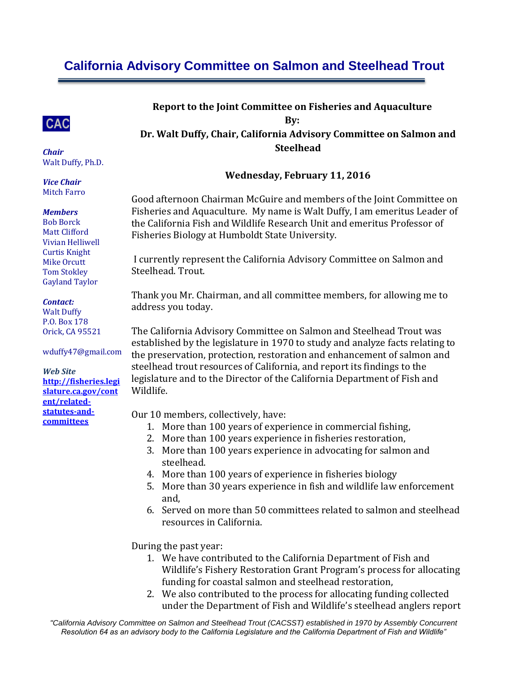# **California Advisory Committee on Salmon and Steelhead Trout**



*Chair* Walt Duffy, Ph.D.

*Vice Chair* Mitch Farro

#### *Members*

Bob Borck Matt Clifford Vivian Helliwell Curtis Knight Mike Orcutt Tom Stokley Gayland Taylor

#### *Contact:*

Walt Duffy P.O. Box 178 Orick, CA 95521

wduffy47@gmail.com

*Web Site* **[http://fisheries.legi](http://fisheries.legislature.ca.gov/content/related-statutes-and-committees) [slature.ca.gov/cont](http://fisheries.legislature.ca.gov/content/related-statutes-and-committees) [ent/related](http://fisheries.legislature.ca.gov/content/related-statutes-and-committees)[statutes-and](http://fisheries.legislature.ca.gov/content/related-statutes-and-committees)[committees](http://fisheries.legislature.ca.gov/content/related-statutes-and-committees)**

**Report to the Joint Committee on Fisheries and Aquaculture By:**

**Dr. Walt Duffy, Chair, California Advisory Committee on Salmon and Steelhead**

#### **Wednesday, February 11, 2016**

Good afternoon Chairman McGuire and members of the Joint Committee on Fisheries and Aquaculture. My name is Walt Duffy, I am emeritus Leader of the California Fish and Wildlife Research Unit and emeritus Professor of Fisheries Biology at Humboldt State University.

I currently represent the California Advisory Committee on Salmon and Steelhead. Trout.

Thank you Mr. Chairman, and all committee members, for allowing me to address you today.

The California Advisory Committee on Salmon and Steelhead Trout was established by the legislature in 1970 to study and analyze facts relating to the preservation, protection, restoration and enhancement of salmon and steelhead trout resources of California, and report its findings to the legislature and to the Director of the California Department of Fish and Wildlife.

Our 10 members, collectively, have:

- 1. More than 100 years of experience in commercial fishing,
- 2. More than 100 years experience in fisheries restoration,
- 3. More than 100 years experience in advocating for salmon and steelhead.
- 4. More than 100 years of experience in fisheries biology
- 5. More than 30 years experience in fish and wildlife law enforcement and,
- 6. Served on more than 50 committees related to salmon and steelhead resources in California.

During the past year:

- 1. We have contributed to the California Department of Fish and Wildlife's Fishery Restoration Grant Program's process for allocating funding for coastal salmon and steelhead restoration,
- 2. We also contributed to the process for allocating funding collected under the Department of Fish and Wildlife's steelhead anglers report

*"California Advisory Committee on Salmon and Steelhead Trout (CACSST) established in 1970 by Assembly Concurrent Resolution 64 as an advisory body to the California Legislature and the California Department of Fish and Wildlife"*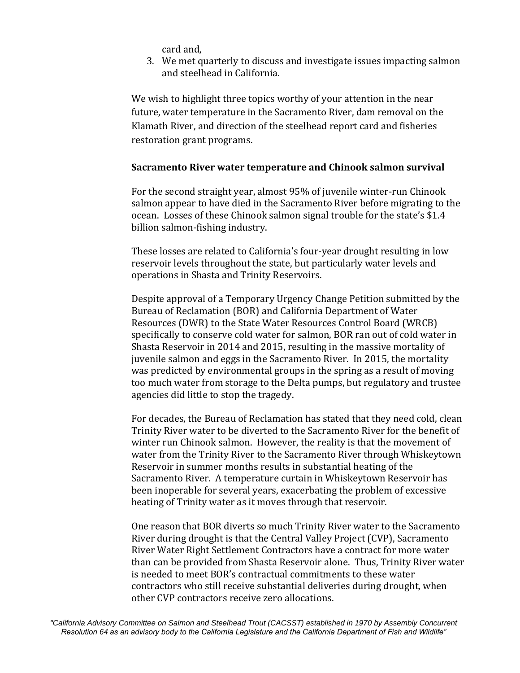card and,

3. We met quarterly to discuss and investigate issues impacting salmon and steelhead in California.

We wish to highlight three topics worthy of your attention in the near future, water temperature in the Sacramento River, dam removal on the Klamath River, and direction of the steelhead report card and fisheries restoration grant programs.

#### **Sacramento River water temperature and Chinook salmon survival**

For the second straight year, almost 95% of juvenile winter-run Chinook salmon appear to have died in the Sacramento River before migrating to the ocean. Losses of these Chinook salmon signal trouble for the state's \$1.4 billion salmon-fishing industry.

These losses are related to California's four-year drought resulting in low reservoir levels throughout the state, but particularly water levels and operations in Shasta and Trinity Reservoirs.

Despite approval of a Temporary Urgency Change Petition submitted by the Bureau of Reclamation (BOR) and California Department of Water Resources (DWR) to the State Water Resources Control Board (WRCB) specifically to conserve cold water for salmon, BOR ran out of cold water in Shasta Reservoir in 2014 and 2015, resulting in the massive mortality of juvenile salmon and eggs in the Sacramento River. In 2015, the mortality was predicted by environmental groups in the spring as a result of moving too much water from storage to the Delta pumps, but regulatory and trustee agencies did little to stop the tragedy.

For decades, the Bureau of Reclamation has stated that they need cold, clean Trinity River water to be diverted to the Sacramento River for the benefit of winter run Chinook salmon. However, the reality is that the movement of water from the Trinity River to the Sacramento River through Whiskeytown Reservoir in summer months results in substantial heating of the Sacramento River. A temperature curtain in Whiskeytown Reservoir has been inoperable for several years, exacerbating the problem of excessive heating of Trinity water as it moves through that reservoir.

One reason that BOR diverts so much Trinity River water to the Sacramento River during drought is that the Central Valley Project (CVP), Sacramento River Water Right Settlement Contractors have a contract for more water than can be provided from Shasta Reservoir alone. Thus, Trinity River water is needed to meet BOR's contractual commitments to these water contractors who still receive substantial deliveries during drought, when other CVP contractors receive zero allocations.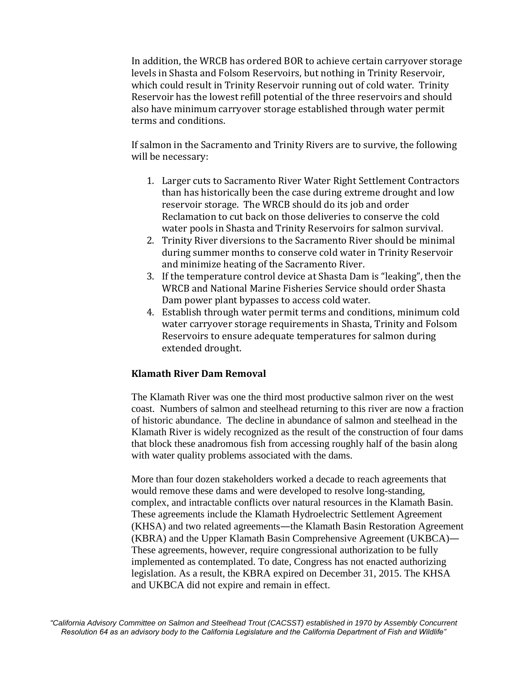In addition, the WRCB has ordered BOR to achieve certain carryover storage levels in Shasta and Folsom Reservoirs, but nothing in Trinity Reservoir, which could result in Trinity Reservoir running out of cold water. Trinity Reservoir has the lowest refill potential of the three reservoirs and should also have minimum carryover storage established through water permit terms and conditions.

If salmon in the Sacramento and Trinity Rivers are to survive, the following will be necessary:

- 1. Larger cuts to Sacramento River Water Right Settlement Contractors than has historically been the case during extreme drought and low reservoir storage. The WRCB should do its job and order Reclamation to cut back on those deliveries to conserve the cold water pools in Shasta and Trinity Reservoirs for salmon survival.
- 2. Trinity River diversions to the Sacramento River should be minimal during summer months to conserve cold water in Trinity Reservoir and minimize heating of the Sacramento River.
- 3. If the temperature control device at Shasta Dam is "leaking", then the WRCB and National Marine Fisheries Service should order Shasta Dam power plant bypasses to access cold water.
- 4. Establish through water permit terms and conditions, minimum cold water carryover storage requirements in Shasta, Trinity and Folsom Reservoirs to ensure adequate temperatures for salmon during extended drought.

### **Klamath River Dam Removal**

The Klamath River was one the third most productive salmon river on the west coast. Numbers of salmon and steelhead returning to this river are now a fraction of historic abundance. The decline in abundance of salmon and steelhead in the Klamath River is widely recognized as the result of the construction of four dams that block these anadromous fish from accessing roughly half of the basin along with water quality problems associated with the dams.

More than four dozen stakeholders worked a decade to reach agreements that would remove these dams and were developed to resolve long-standing, complex, and intractable conflicts over natural resources in the Klamath Basin. These agreements include the Klamath Hydroelectric Settlement Agreement (KHSA) and two related agreements—the Klamath Basin Restoration Agreement (KBRA) and the Upper Klamath Basin Comprehensive Agreement (UKBCA)— These agreements, however, require congressional authorization to be fully implemented as contemplated. To date, Congress has not enacted authorizing legislation. As a result, the KBRA expired on December 31, 2015. The KHSA and UKBCA did not expire and remain in effect.